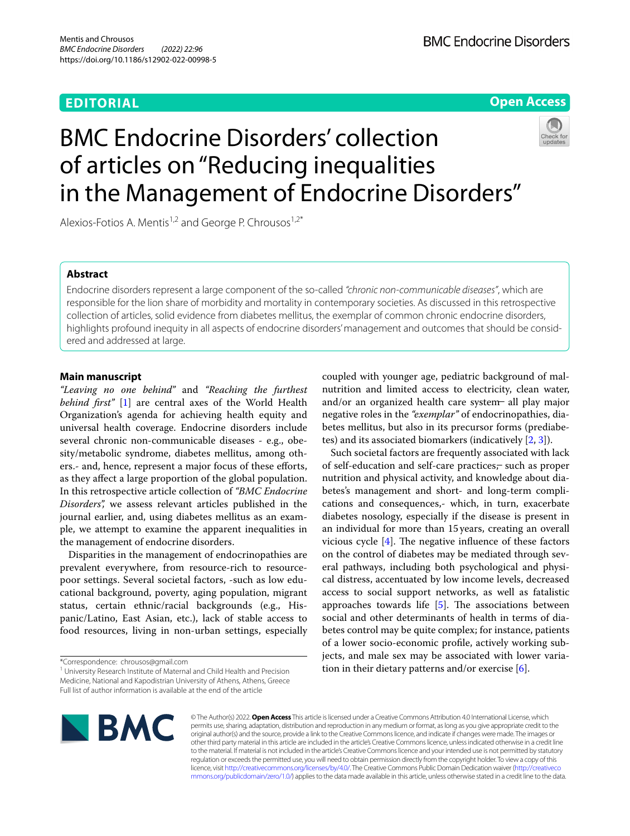## **EDITORIAL**



# BMC Endocrine Disorders' collection of articles on "Reducing inequalities in the Management of Endocrine Disorders"



Alexios-Fotios A. Mentis<sup>1,2</sup> and George P. Chrousos<sup>1,2\*</sup>

## **Abstract**

Endocrine disorders represent a large component of the so-called *"chronic non-communicable diseases"*, which are responsible for the lion share of morbidity and mortality in contemporary societies. As discussed in this retrospective collection of articles, solid evidence from diabetes mellitus, the exemplar of common chronic endocrine disorders, highlights profound inequity in all aspects of endocrine disorders' management and outcomes that should be considered and addressed at large.

#### **Main manuscript**

*"Leaving no one behind"* and *"Reaching the furthest behind frst"* [\[1](#page-1-0)] are central axes of the World Health Organization's agenda for achieving health equity and universal health coverage. Endocrine disorders include several chronic non-communicable diseases - e.g., obesity/metabolic syndrome, diabetes mellitus, among others.- and, hence, represent a major focus of these efforts, as they afect a large proportion of the global population. In this retrospective article collection of *"BMC Endocrine Disorders",* we assess relevant articles published in the journal earlier, and, using diabetes mellitus as an example, we attempt to examine the apparent inequalities in the management of endocrine disorders.

Disparities in the management of endocrinopathies are prevalent everywhere, from resource-rich to resourcepoor settings. Several societal factors, -such as low educational background, poverty, aging population, migrant status, certain ethnic/racial backgrounds (e.g., Hispanic/Latino, East Asian, etc.), lack of stable access to food resources, living in non-urban settings, especially coupled with younger age, pediatric background of malnutrition and limited access to electricity, clean water, and/or an organized health care system all play major negative roles in the *"exemplar"* of endocrinopathies, diabetes mellitus, but also in its precursor forms (prediabetes) and its associated biomarkers (indicatively [[2,](#page-1-1) [3](#page-1-2)]).

Such societal factors are frequently associated with lack of self-education and self-care practices, such as proper nutrition and physical activity, and knowledge about diabetes's management and short- and long-term complications and consequences,- which, in turn, exacerbate diabetes nosology, especially if the disease is present in an individual for more than 15years, creating an overall vicious cycle  $[4]$  $[4]$ . The negative influence of these factors on the control of diabetes may be mediated through several pathways, including both psychological and physical distress, accentuated by low income levels, decreased access to social support networks, as well as fatalistic approaches towards life  $[5]$  $[5]$ . The associations between social and other determinants of health in terms of diabetes control may be quite complex; for instance, patients of a lower socio-economic profle, actively working subjects, and male sex may be associated with lower variation in their dietary patterns and/or exercise  $[6]$  $[6]$ .



© The Author(s) 2022. **Open Access** This article is licensed under a Creative Commons Attribution 4.0 International License, which permits use, sharing, adaptation, distribution and reproduction in any medium or format, as long as you give appropriate credit to the original author(s) and the source, provide a link to the Creative Commons licence, and indicate if changes were made. The images or other third party material in this article are included in the article's Creative Commons licence, unless indicated otherwise in a credit line to the material. If material is not included in the article's Creative Commons licence and your intended use is not permitted by statutory regulation or exceeds the permitted use, you will need to obtain permission directly from the copyright holder. To view a copy of this licence, visit [http://creativecommons.org/licenses/by/4.0/.](http://creativecommons.org/licenses/by/4.0/) The Creative Commons Public Domain Dedication waiver ([http://creativeco](http://creativecommons.org/publicdomain/zero/1.0/) [mmons.org/publicdomain/zero/1.0/](http://creativecommons.org/publicdomain/zero/1.0/)) applies to the data made available in this article, unless otherwise stated in a credit line to the data.

<sup>\*</sup>Correspondence: chrousos@gmail.com

<sup>&</sup>lt;sup>1</sup> University Research Institute of Maternal and Child Health and Precision Medicine, National and Kapodistrian University of Athens, Athens, Greece Full list of author information is available at the end of the article